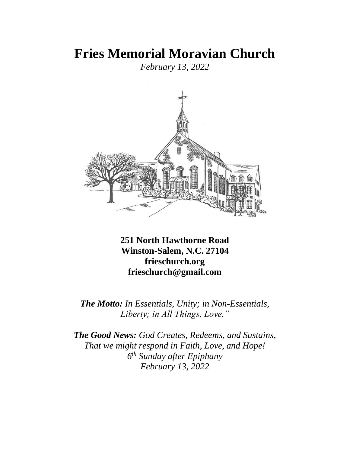# **Fries Memorial Moravian Church**

*February 13, 2022*



**251 North Hawthorne Road Winston-Salem, N.C. 27104 frieschurch.org frieschurch@gmail.com**

*The Motto: In Essentials, Unity; in Non-Essentials, Liberty; in All Things, Love."*

*The Good News: God Creates, Redeems, and Sustains, That we might respond in Faith, Love, and Hope! 6 th Sunday after Epiphany February 13, 2022*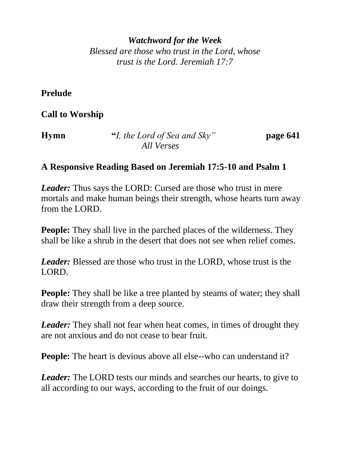*Watchword for the Week Blessed are those who trust in the Lord, whose trust is the Lord. Jeremiah 17:7* 

**Prelude**

**Call to Worship**

| <b>Hymn</b> | "I, the Lord of Sea and Sky" | page 641 |
|-------------|------------------------------|----------|
|             | All Verses                   |          |

# **A Responsive Reading Based on Jeremiah 17:5-10 and Psalm 1**

*Leader:* Thus says the LORD: Cursed are those who trust in mere mortals and make human beings their strength, whose hearts turn away from the LORD.

**People:** They shall live in the parched places of the wilderness. They shall be like a shrub in the desert that does not see when relief comes.

*Leader:* Blessed are those who trust in the LORD, whose trust is the LORD.

**People:** They shall be like a tree planted by steams of water; they shall draw their strength from a deep source.

*Leader:* They shall not fear when heat comes, in times of drought they are not anxious and do not cease to bear fruit.

**People:** The heart is devious above all else--who can understand it?

*Leader:* The LORD tests our minds and searches our hearts, to give to all according to our ways, according to the fruit of our doings.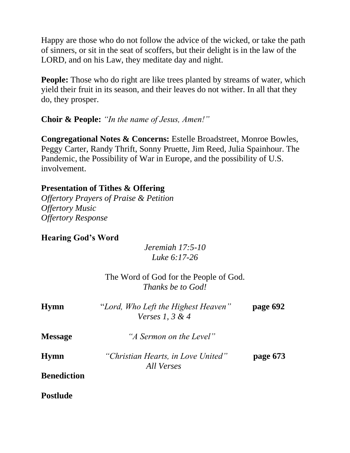Happy are those who do not follow the advice of the wicked, or take the path of sinners, or sit in the seat of scoffers, but their delight is in the law of the LORD, and on his Law, they meditate day and night.

**People:** Those who do right are like trees planted by streams of water, which yield their fruit in its season, and their leaves do not wither. In all that they do, they prosper.

## **Choir & People:** *"In the name of Jesus, Amen!"*

**Congregational Notes & Concerns:** Estelle Broadstreet, Monroe Bowles, Peggy Carter, Randy Thrift, Sonny Pruette, Jim Reed, Julia Spainhour. The Pandemic, the Possibility of War in Europe, and the possibility of U.S. involvement.

### **Presentation of Tithes & Offering**

*Offertory Prayers of Praise & Petition Offertory Music Offertory Response*

## **Hearing God's Word**

## *Jeremiah 17:5-10 Luke 6:17-26*

|                    | The Word of God for the People of God.<br><i>Thanks be to God!</i> |          |
|--------------------|--------------------------------------------------------------------|----------|
| <b>Hymn</b>        | "Lord, Who Left the Highest Heaven"<br>Verses 1, $3 & 4$           | page 692 |
| <b>Message</b>     | "A Sermon on the Level"                                            |          |
| <b>Hymn</b>        | "Christian Hearts, in Love United"<br>All Verses                   | page 673 |
| <b>Benediction</b> |                                                                    |          |
| <b>Postlude</b>    |                                                                    |          |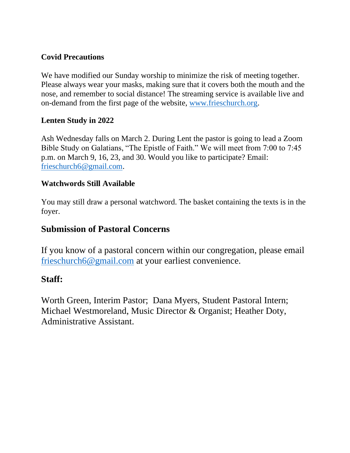#### **Covid Precautions**

We have modified our Sunday worship to minimize the risk of meeting together. Please always wear your masks, making sure that it covers both the mouth and the nose, and remember to social distance! The streaming service is available live and on-demand from the first page of the website, [www.frieschurch.org.](http://www.frieschurch.org/)

#### **Lenten Study in 2022**

Ash Wednesday falls on March 2. During Lent the pastor is going to lead a Zoom Bible Study on Galatians, "The Epistle of Faith." We will meet from 7:00 to 7:45 p.m. on March 9, 16, 23, and 30. Would you like to participate? Email: [frieschurch6@gmail.com.](mailto:frieschurch6@gmail.com)

#### **Watchwords Still Available**

You may still draw a personal watchword. The basket containing the texts is in the foyer.

## **Submission of Pastoral Concerns**

If you know of a pastoral concern within our congregation, please email [frieschurch6@gmail.com](mailto:frieschurch6@gmail.com) at your earliest convenience.

#### **Staff:**

Worth Green, Interim Pastor; Dana Myers, Student Pastoral Intern; Michael Westmoreland, Music Director & Organist; Heather Doty, Administrative Assistant.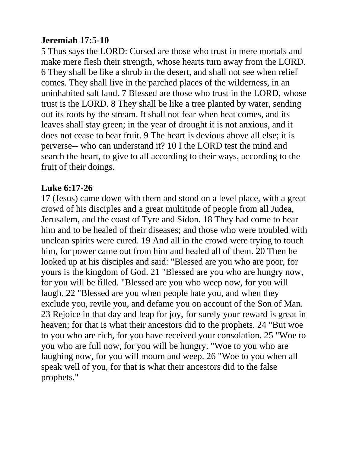# **Jeremiah 17:5-10**

5 Thus says the LORD: Cursed are those who trust in mere mortals and make mere flesh their strength, whose hearts turn away from the LORD. 6 They shall be like a shrub in the desert, and shall not see when relief comes. They shall live in the parched places of the wilderness, in an uninhabited salt land. 7 Blessed are those who trust in the LORD, whose trust is the LORD. 8 They shall be like a tree planted by water, sending out its roots by the stream. It shall not fear when heat comes, and its leaves shall stay green; in the year of drought it is not anxious, and it does not cease to bear fruit. 9 The heart is devious above all else; it is perverse-- who can understand it? 10 I the LORD test the mind and search the heart, to give to all according to their ways, according to the fruit of their doings.

# **Luke 6:17-26**

17 (Jesus) came down with them and stood on a level place, with a great crowd of his disciples and a great multitude of people from all Judea, Jerusalem, and the coast of Tyre and Sidon. 18 They had come to hear him and to be healed of their diseases; and those who were troubled with unclean spirits were cured. 19 And all in the crowd were trying to touch him, for power came out from him and healed all of them. 20 Then he looked up at his disciples and said: "Blessed are you who are poor, for yours is the kingdom of God. 21 "Blessed are you who are hungry now, for you will be filled. "Blessed are you who weep now, for you will laugh. 22 "Blessed are you when people hate you, and when they exclude you, revile you, and defame you on account of the Son of Man. 23 Rejoice in that day and leap for joy, for surely your reward is great in heaven; for that is what their ancestors did to the prophets. 24 "But woe to you who are rich, for you have received your consolation. 25 "Woe to you who are full now, for you will be hungry. "Woe to you who are laughing now, for you will mourn and weep. 26 "Woe to you when all speak well of you, for that is what their ancestors did to the false prophets."